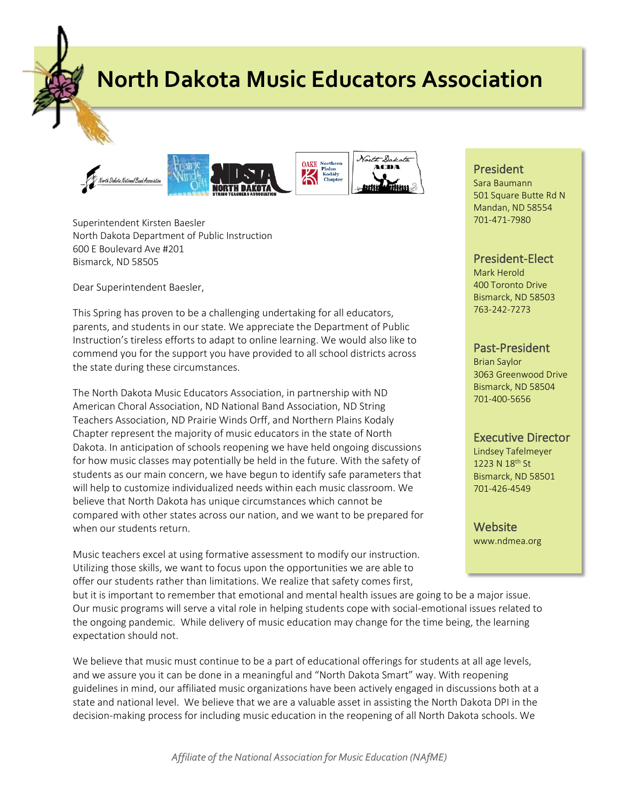**North Dakota Music Educators Association**



Superintendent Kirsten Baesler North Dakota Department of Public Instruction 600 E Boulevard Ave #201 Bismarck, ND 58505

Dear Superintendent Baesler,

This Spring has proven to be a challenging undertaking for all educators, parents, and students in our state. We appreciate the Department of Public Instruction's tireless efforts to adapt to online learning. We would also like to commend you for the support you have provided to all school districts across the state during these circumstances.

The North Dakota Music Educators Association, in partnership with ND American Choral Association, ND National Band Association, ND String Teachers Association, ND Prairie Winds Orff, and Northern Plains Kodaly Chapter represent the majority of music educators in the state of North Dakota. In anticipation of schools reopening we have held ongoing discussions for how music classes may potentially be held in the future. With the safety of students as our main concern, we have begun to identify safe parameters that will help to customize individualized needs within each music classroom. We believe that North Dakota has unique circumstances which cannot be compared with other states across our nation, and we want to be prepared for when our students return.

Music teachers excel at using formative assessment to modify our instruction. Utilizing those skills, we want to focus upon the opportunities we are able to offer our students rather than limitations. We realize that safety comes first,

but it is important to remember that emotional and mental health issues are going to be a major issue. Our music programs will serve a vital role in helping students cope with social-emotional issues related to the ongoing pandemic. While delivery of music education may change for the time being, the learning expectation should not.

We believe that music must continue to be a part of educational offerings for students at all age levels, and we assure you it can be done in a meaningful and "North Dakota Smart" way. With reopening guidelines in mind, our affiliated music organizations have been actively engaged in discussions both at a state and national level. We believe that we are a valuable asset in assisting the North Dakota DPI in the decision-making process for including music education in the reopening of all North Dakota schools. We

President

Sara Baumann 501 Square Butte Rd N Mandan, ND 58554 701-471-7980

## President-Elect

Mark Herold 400 Toronto Drive Bismarck, ND 58503 763-242-7273

## Past-President

Brian Saylor 3063 Greenwood Drive Bismarck, ND 58504 701-400-5656

## Executive Director

Lindsey Tafelmeyer 1223 N 18th St Bismarck, ND 58501 701-426-4549

**Website** www.ndmea.org

*Affiliate of the National Association for Music Education (NAfME)*